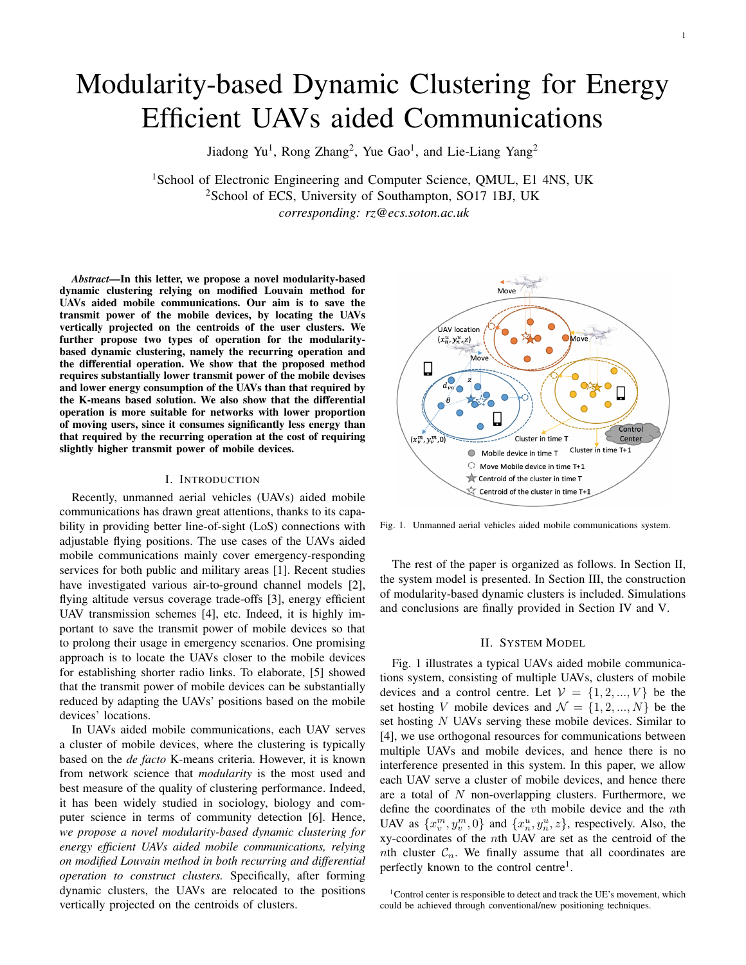# Modularity-based Dynamic Clustering for Energy Efficient UAVs aided Communications

Jiadong Yu<sup>1</sup>, Rong Zhang<sup>2</sup>, Yue Gao<sup>1</sup>, and Lie-Liang Yang<sup>2</sup>

<sup>1</sup>School of Electronic Engineering and Computer Science, QMUL, E1 4NS, UK <sup>2</sup>School of ECS, University of Southampton, SO17 1BJ, UK *corresponding: rz@ecs.soton.ac.uk*

*Abstract*—In this letter, we propose a novel modularity-based dynamic clustering relying on modified Louvain method for UAVs aided mobile communications. Our aim is to save the transmit power of the mobile devices, by locating the UAVs vertically projected on the centroids of the user clusters. We further propose two types of operation for the modularitybased dynamic clustering, namely the recurring operation and the differential operation. We show that the proposed method requires substantially lower transmit power of the mobile devises and lower energy consumption of the UAVs than that required by the K-means based solution. We also show that the differential operation is more suitable for networks with lower proportion of moving users, since it consumes significantly less energy than that required by the recurring operation at the cost of requiring slightly higher transmit power of mobile devices.

## I. INTRODUCTION

Recently, unmanned aerial vehicles (UAVs) aided mobile communications has drawn great attentions, thanks to its capability in providing better line-of-sight (LoS) connections with adjustable flying positions. The use cases of the UAVs aided mobile communications mainly cover emergency-responding services for both public and military areas [1]. Recent studies have investigated various air-to-ground channel models [2], flying altitude versus coverage trade-offs [3], energy efficient UAV transmission schemes [4], etc. Indeed, it is highly important to save the transmit power of mobile devices so that to prolong their usage in emergency scenarios. One promising approach is to locate the UAVs closer to the mobile devices for establishing shorter radio links. To elaborate, [5] showed that the transmit power of mobile devices can be substantially reduced by adapting the UAVs' positions based on the mobile devices' locations.

In UAVs aided mobile communications, each UAV serves a cluster of mobile devices, where the clustering is typically based on the *de facto* K-means criteria. However, it is known from network science that *modularity* is the most used and best measure of the quality of clustering performance. Indeed, it has been widely studied in sociology, biology and computer science in terms of community detection [6]. Hence, *we propose a novel modularity-based dynamic clustering for energy efficient UAVs aided mobile communications, relying on modified Louvain method in both recurring and differential operation to construct clusters.* Specifically, after forming dynamic clusters, the UAVs are relocated to the positions vertically projected on the centroids of clusters.



Fig. 1. Unmanned aerial vehicles aided mobile communications system.

The rest of the paper is organized as follows. In Section II, the system model is presented. In Section III, the construction of modularity-based dynamic clusters is included. Simulations and conclusions are finally provided in Section IV and V.

## II. SYSTEM MODEL

Fig. 1 illustrates a typical UAVs aided mobile communications system, consisting of multiple UAVs, clusters of mobile devices and a control centre. Let  $V = \{1, 2, ..., V\}$  be the set hosting V mobile devices and  $\mathcal{N} = \{1, 2, ..., N\}$  be the set hosting N UAVs serving these mobile devices. Similar to [4], we use orthogonal resources for communications between multiple UAVs and mobile devices, and hence there is no interference presented in this system. In this paper, we allow each UAV serve a cluster of mobile devices, and hence there are a total of  $N$  non-overlapping clusters. Furthermore, we define the coordinates of the vth mobile device and the nth UAV as  $\{x_v^m, y_v^m, 0\}$  and  $\{x_u^u, y_u^u, z\}$ , respectively. Also, the xy-coordinates of the nth UAV are set as the centroid of the *nth* cluster  $C_n$ . We finally assume that all coordinates are perfectly known to the control centre<sup>1</sup>.

<sup>1</sup>Control center is responsible to detect and track the UE's movement, which could be achieved through conventional/new positioning techniques.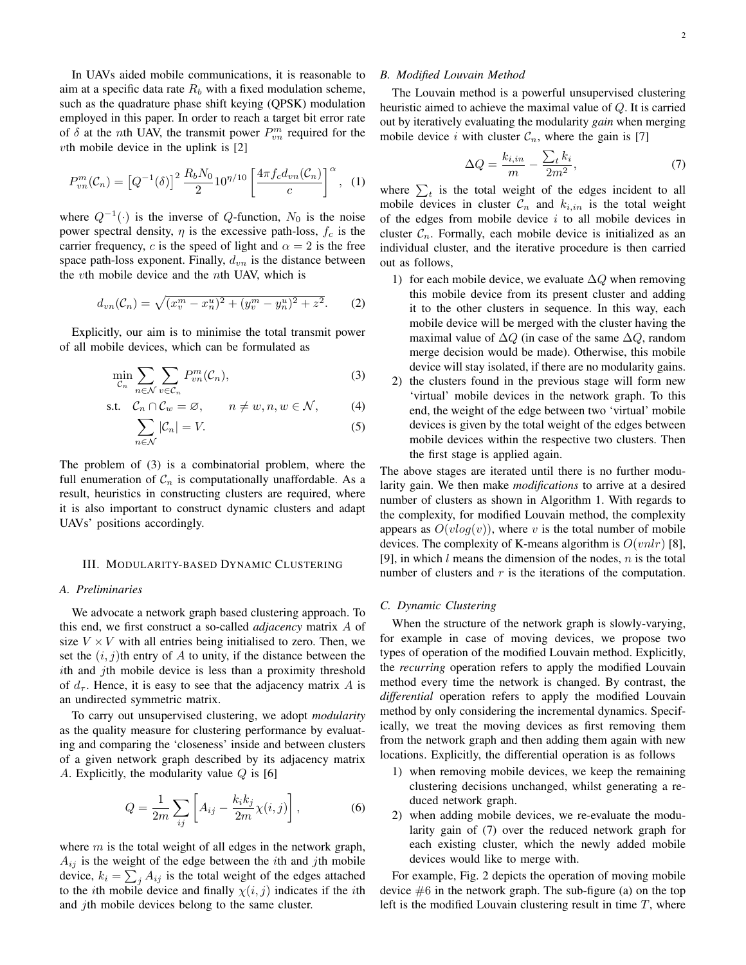In UAVs aided mobile communications, it is reasonable to aim at a specific data rate  $R_b$  with a fixed modulation scheme, such as the quadrature phase shift keying (QPSK) modulation employed in this paper. In order to reach a target bit error rate of  $\delta$  at the *n*th UAV, the transmit power  $P_{vn}^m$  required for the  $vt$ h mobile device in the uplink is [2]

$$
P_{vn}^m(\mathcal{C}_n) = \left[Q^{-1}(\delta)\right]^2 \frac{R_b N_0}{2} 10^{\eta/10} \left[\frac{4\pi f_c d_{vn}(\mathcal{C}_n)}{c}\right]^\alpha, \tag{1}
$$

where  $Q^{-1}(\cdot)$  is the inverse of  $Q$ -function,  $N_0$  is the noise power spectral density,  $\eta$  is the excessive path-loss,  $f_c$  is the carrier frequency, c is the speed of light and  $\alpha = 2$  is the free space path-loss exponent. Finally,  $d_{vn}$  is the distance between the vth mobile device and the nth UAV, which is

$$
d_{vn}(\mathcal{C}_n) = \sqrt{(x_v^m - x_n^u)^2 + (y_v^m - y_n^u)^2 + z^2}.
$$
 (2)

Explicitly, our aim is to minimise the total transmit power of all mobile devices, which can be formulated as

$$
\min_{\mathcal{C}_n} \sum_{n \in \mathcal{N}} \sum_{v \in \mathcal{C}_n} P_{vn}^m(\mathcal{C}_n),\tag{3}
$$

$$
\text{s.t.} \quad \mathcal{C}_n \cap \mathcal{C}_w = \varnothing, \qquad n \neq w, n, w \in \mathcal{N}, \tag{4}
$$

$$
\sum_{n \in \mathcal{N}} |\mathcal{C}_n| = V. \tag{5}
$$

The problem of (3) is a combinatorial problem, where the full enumeration of  $C_n$  is computationally unaffordable. As a result, heuristics in constructing clusters are required, where it is also important to construct dynamic clusters and adapt UAVs' positions accordingly.

## III. MODULARITY-BASED DYNAMIC CLUSTERING

### *A. Preliminaries*

We advocate a network graph based clustering approach. To this end, we first construct a so-called *adjacency* matrix A of size  $V \times V$  with all entries being initialised to zero. Then, we set the  $(i, j)$ th entry of A to unity, if the distance between the ith and jth mobile device is less than a proximity threshold of  $d_{\tau}$ . Hence, it is easy to see that the adjacency matrix A is an undirected symmetric matrix.

To carry out unsupervised clustering, we adopt *modularity* as the quality measure for clustering performance by evaluating and comparing the 'closeness' inside and between clusters of a given network graph described by its adjacency matrix A. Explicitly, the modularity value  $Q$  is [6]

$$
Q = \frac{1}{2m} \sum_{ij} \left[ A_{ij} - \frac{k_i k_j}{2m} \chi(i, j) \right],
$$
 (6)

where  $m$  is the total weight of all edges in the network graph,  $A_{ij}$  is the weight of the edge between the *i*th and *j*th mobile device,  $k_i = \sum_j A_{ij}$  is the total weight of the edges attached to the *i*th mobile device and finally  $\chi(i, j)$  indicates if the *i*th and *j*th mobile devices belong to the same cluster.

## *B. Modified Louvain Method*

The Louvain method is a powerful unsupervised clustering heuristic aimed to achieve the maximal value of Q. It is carried out by iteratively evaluating the modularity *gain* when merging mobile device i with cluster  $C_n$ , where the gain is [7]

$$
\Delta Q = \frac{k_{i,in}}{m} - \frac{\sum_{t} k_i}{2m^2},\tag{7}
$$

where  $\sum_{t}$  is the total weight of the edges incident to all mobile devices in cluster  $C_n$  and  $k_{i,in}$  is the total weight of the edges from mobile device  $i$  to all mobile devices in cluster  $C_n$ . Formally, each mobile device is initialized as an individual cluster, and the iterative procedure is then carried out as follows,

- 1) for each mobile device, we evaluate  $\Delta Q$  when removing this mobile device from its present cluster and adding it to the other clusters in sequence. In this way, each mobile device will be merged with the cluster having the maximal value of  $\Delta Q$  (in case of the same  $\Delta Q$ , random merge decision would be made). Otherwise, this mobile device will stay isolated, if there are no modularity gains.
- 2) the clusters found in the previous stage will form new 'virtual' mobile devices in the network graph. To this end, the weight of the edge between two 'virtual' mobile devices is given by the total weight of the edges between mobile devices within the respective two clusters. Then the first stage is applied again.

The above stages are iterated until there is no further modularity gain. We then make *modifications* to arrive at a desired number of clusters as shown in Algorithm 1. With regards to the complexity, for modified Louvain method, the complexity appears as  $O(vlog(v))$ , where v is the total number of mobile devices. The complexity of K-means algorithm is  $O(vnlr)$  [8], [9], in which  $l$  means the dimension of the nodes,  $n$  is the total number of clusters and  $r$  is the iterations of the computation.

#### *C. Dynamic Clustering*

When the structure of the network graph is slowly-varying, for example in case of moving devices, we propose two types of operation of the modified Louvain method. Explicitly, the *recurring* operation refers to apply the modified Louvain method every time the network is changed. By contrast, the *differential* operation refers to apply the modified Louvain method by only considering the incremental dynamics. Specifically, we treat the moving devices as first removing them from the network graph and then adding them again with new locations. Explicitly, the differential operation is as follows

- 1) when removing mobile devices, we keep the remaining clustering decisions unchanged, whilst generating a reduced network graph.
- 2) when adding mobile devices, we re-evaluate the modularity gain of (7) over the reduced network graph for each existing cluster, which the newly added mobile devices would like to merge with.

For example, Fig. 2 depicts the operation of moving mobile device  $#6$  in the network graph. The sub-figure (a) on the top left is the modified Louvain clustering result in time  $T$ , where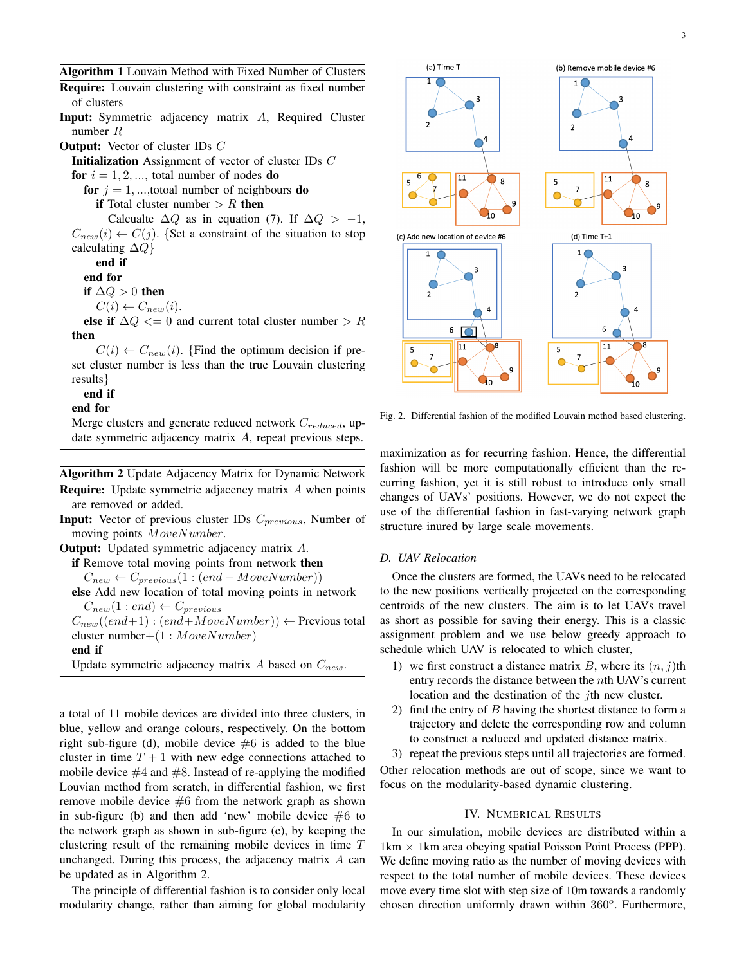Algorithm 1 Louvain Method with Fixed Number of Clusters

Require: Louvain clustering with constraint as fixed number of clusters

Input: Symmetric adjacency matrix A, Required Cluster number R

Output: Vector of cluster IDs C

Initialization Assignment of vector of cluster IDs C

for  $i = 1, 2, \dots$ , total number of nodes do

for  $j = 1, \dots$ , totoal number of neighbours do

if Total cluster number  $> R$  then

Calcualte  $\Delta Q$  as in equation (7). If  $\Delta Q > -1$ ,  $C_{new}(i) \leftarrow C(j)$ . {Set a constraint of the situation to stop calculating  $\Delta Q$ }

end if

end for

if  $\Delta Q > 0$  then

 $C(i) \leftarrow C_{new}(i).$ 

else if  $\Delta Q \le 0$  and current total cluster number > R then

 $C(i) \leftarrow C_{new}(i)$ . {Find the optimum decision if preset cluster number is less than the true Louvain clustering results}

end if

end for

Merge clusters and generate reduced network  $C_{reduced}$ , update symmetric adjacency matrix A, repeat previous steps.

Algorithm 2 Update Adjacency Matrix for Dynamic Network

Require: Update symmetric adjacency matrix A when points are removed or added.

**Input:** Vector of previous cluster IDs  $C_{previous}$ , Number of moving points MoveNumber.

Output: Updated symmetric adjacency matrix A.

if Remove total moving points from network then

 $C_{new} \leftarrow C_{previous}(1:(end-MoveNumber))$ 

else Add new location of total moving points in network  $C_{new}(1 : end) \leftarrow C_{previous}$ 

 $C_{new}((end+1) : (end+MoveNumber)) \leftarrow$  Previous total cluster number+ $(1 : MoveNumber)$ 

end if

Update symmetric adjacency matrix A based on  $C_{new}$ .

a total of 11 mobile devices are divided into three clusters, in blue, yellow and orange colours, respectively. On the bottom right sub-figure (d), mobile device  $#6$  is added to the blue cluster in time  $T + 1$  with new edge connections attached to mobile device  $\#4$  and  $\#8$ . Instead of re-applying the modified Louvian method from scratch, in differential fashion, we first remove mobile device  $#6$  from the network graph as shown in sub-figure (b) and then add 'new' mobile device  $#6$  to the network graph as shown in sub-figure (c), by keeping the clustering result of the remaining mobile devices in time T unchanged. During this process, the adjacency matrix  $A$  can be updated as in Algorithm 2.

The principle of differential fashion is to consider only local modularity change, rather than aiming for global modularity



Fig. 2. Differential fashion of the modified Louvain method based clustering.

maximization as for recurring fashion. Hence, the differential fashion will be more computationally efficient than the recurring fashion, yet it is still robust to introduce only small changes of UAVs' positions. However, we do not expect the use of the differential fashion in fast-varying network graph structure inured by large scale movements.

## *D. UAV Relocation*

Once the clusters are formed, the UAVs need to be relocated to the new positions vertically projected on the corresponding centroids of the new clusters. The aim is to let UAVs travel as short as possible for saving their energy. This is a classic assignment problem and we use below greedy approach to schedule which UAV is relocated to which cluster,

- 1) we first construct a distance matrix B, where its  $(n, j)$ th entry records the distance between the nth UAV's current location and the destination of the  $j$ th new cluster.
- 2) find the entry of  $B$  having the shortest distance to form a trajectory and delete the corresponding row and column to construct a reduced and updated distance matrix.

3) repeat the previous steps until all trajectories are formed. Other relocation methods are out of scope, since we want to focus on the modularity-based dynamic clustering.

## IV. NUMERICAL RESULTS

In our simulation, mobile devices are distributed within a  $1 \text{km} \times 1 \text{km}$  area obeying spatial Poisson Point Process (PPP). We define moving ratio as the number of moving devices with respect to the total number of mobile devices. These devices move every time slot with step size of 10m towards a randomly chosen direction uniformly drawn within  $360^o$ . Furthermore,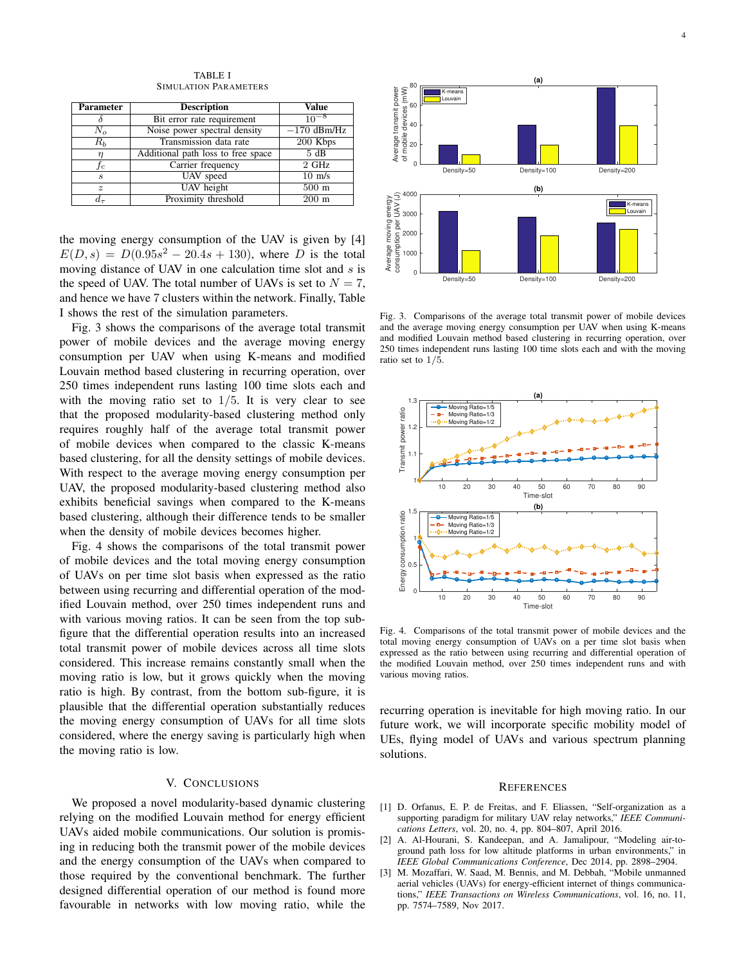Parameter Description Value  $\delta$  Bit error rate requirement  $10^{-8}$ <br>
Notice nower spectral density  $-170 \text{ dBm/Hz}$  $N_o$  Noise power spectral density  $-170 \text{ dBm/l}$ <br>
Noise 10 Transmission data rate  $-200 \text{ Kbps}$ Transmission data rate 200 Kb<br>
ional path loss to free space 5 dB  $\eta$  Additional path loss to free space  $f_c$  Carrier frequency 2 GHz s UAV speed 10 m/s  $\frac{z}{d_{\tau}}$  UAV height 500 m<br> $\frac{1}{d_{\tau}}$  Proximity threshold 200 m Proximity threshold

TABLE I SIMULATION PARAMETERS

the moving energy consumption of the UAV is given by [4]  $E(D, s) = D(0.95s<sup>2</sup> - 20.4s + 130)$ , where D is the total moving distance of UAV in one calculation time slot and  $s$  is the speed of UAV. The total number of UAVs is set to  $N = 7$ , and hence we have 7 clusters within the network. Finally, Table I shows the rest of the simulation parameters.

Fig. 3 shows the comparisons of the average total transmit power of mobile devices and the average moving energy consumption per UAV when using K-means and modified Louvain method based clustering in recurring operation, over 250 times independent runs lasting 100 time slots each and with the moving ratio set to  $1/5$ . It is very clear to see that the proposed modularity-based clustering method only requires roughly half of the average total transmit power of mobile devices when compared to the classic K-means based clustering, for all the density settings of mobile devices. With respect to the average moving energy consumption per UAV, the proposed modularity-based clustering method also exhibits beneficial savings when compared to the K-means based clustering, although their difference tends to be smaller when the density of mobile devices becomes higher.

Fig. 4 shows the comparisons of the total transmit power of mobile devices and the total moving energy consumption of UAVs on per time slot basis when expressed as the ratio between using recurring and differential operation of the modified Louvain method, over 250 times independent runs and with various moving ratios. It can be seen from the top subfigure that the differential operation results into an increased total transmit power of mobile devices across all time slots considered. This increase remains constantly small when the moving ratio is low, but it grows quickly when the moving ratio is high. By contrast, from the bottom sub-figure, it is plausible that the differential operation substantially reduces the moving energy consumption of UAVs for all time slots considered, where the energy saving is particularly high when the moving ratio is low.

# V. CONCLUSIONS

We proposed a novel modularity-based dynamic clustering relying on the modified Louvain method for energy efficient UAVs aided mobile communications. Our solution is promising in reducing both the transmit power of the mobile devices and the energy consumption of the UAVs when compared to those required by the conventional benchmark. The further designed differential operation of our method is found more favourable in networks with low moving ratio, while the



Fig. 3. Comparisons of the average total transmit power of mobile devices and the average moving energy consumption per UAV when using K-means and modified Louvain method based clustering in recurring operation, over 250 times independent runs lasting 100 time slots each and with the moving ratio set to 1/5.



Fig. 4. Comparisons of the total transmit power of mobile devices and the total moving energy consumption of UAVs on a per time slot basis when expressed as the ratio between using recurring and differential operation of the modified Louvain method, over 250 times independent runs and with various moving ratios.

recurring operation is inevitable for high moving ratio. In our future work, we will incorporate specific mobility model of UEs, flying model of UAVs and various spectrum planning solutions.

#### **REFERENCES**

- [1] D. Orfanus, E. P. de Freitas, and F. Eliassen, "Self-organization as a supporting paradigm for military UAV relay networks," *IEEE Communications Letters*, vol. 20, no. 4, pp. 804–807, April 2016.
- [2] A. Al-Hourani, S. Kandeepan, and A. Jamalipour, "Modeling air-toground path loss for low altitude platforms in urban environments," in *IEEE Global Communications Conference*, Dec 2014, pp. 2898–2904.
- [3] M. Mozaffari, W. Saad, M. Bennis, and M. Debbah, "Mobile unmanned aerial vehicles (UAVs) for energy-efficient internet of things communications," *IEEE Transactions on Wireless Communications*, vol. 16, no. 11, pp. 7574–7589, Nov 2017.